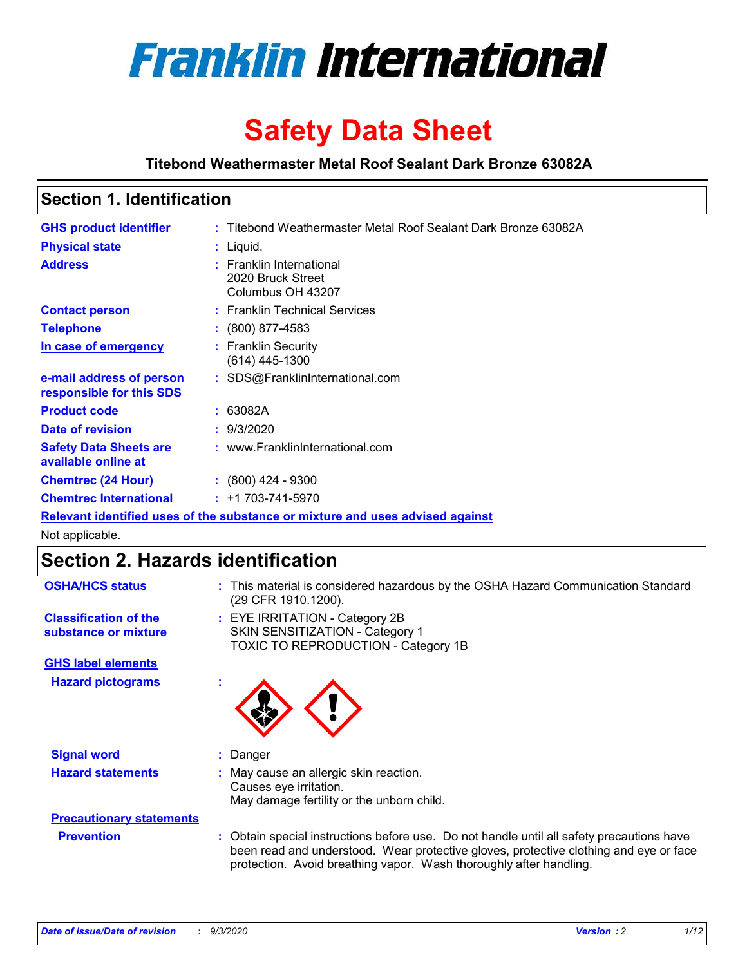

# **Safety Data Sheet**

**Titebond Weathermaster Metal Roof Sealant Dark Bronze 63082A**

### **Section 1. Identification**

| <b>GHS product identifier</b>                                                 |  | : Titebond Weathermaster Metal Roof Sealant Dark Bronze 63082A     |  |
|-------------------------------------------------------------------------------|--|--------------------------------------------------------------------|--|
| <b>Physical state</b>                                                         |  | : Liguid.                                                          |  |
| <b>Address</b>                                                                |  | : Franklin International<br>2020 Bruck Street<br>Columbus OH 43207 |  |
| <b>Contact person</b>                                                         |  | : Franklin Technical Services                                      |  |
| <b>Telephone</b>                                                              |  | $\colon$ (800) 877-4583                                            |  |
| In case of emergency                                                          |  | : Franklin Security<br>$(614)$ 445-1300                            |  |
| e-mail address of person<br>responsible for this SDS                          |  | : SDS@FranklinInternational.com                                    |  |
| <b>Product code</b>                                                           |  | : 63082A                                                           |  |
| Date of revision                                                              |  | : 9/3/2020                                                         |  |
| <b>Safety Data Sheets are</b><br>available online at                          |  | : www.FranklinInternational.com                                    |  |
| <b>Chemtrec (24 Hour)</b>                                                     |  | $\div$ (800) 424 - 9300                                            |  |
| <b>Chemtrec International</b>                                                 |  | $: +1703 - 741 - 5970$                                             |  |
| Relevant identified uses of the substance or mixture and uses advised against |  |                                                                    |  |

Not applicable.

# **Section 2. Hazards identification**

| <b>OSHA/HCS status</b>                               |    | : This material is considered hazardous by the OSHA Hazard Communication Standard<br>(29 CFR 1910.1200).                                                                                                                                                 |
|------------------------------------------------------|----|----------------------------------------------------------------------------------------------------------------------------------------------------------------------------------------------------------------------------------------------------------|
| <b>Classification of the</b><br>substance or mixture |    | : EYE IRRITATION - Category 2B<br>SKIN SENSITIZATION - Category 1<br>TOXIC TO REPRODUCTION - Category 1B                                                                                                                                                 |
| <b>GHS label elements</b>                            |    |                                                                                                                                                                                                                                                          |
| <b>Hazard pictograms</b>                             | ٠  |                                                                                                                                                                                                                                                          |
| <b>Signal word</b>                                   | ÷. | Danger                                                                                                                                                                                                                                                   |
| <b>Hazard statements</b>                             |    | May cause an allergic skin reaction.<br>Causes eye irritation.<br>May damage fertility or the unborn child.                                                                                                                                              |
| <b>Precautionary statements</b>                      |    |                                                                                                                                                                                                                                                          |
| <b>Prevention</b>                                    |    | : Obtain special instructions before use. Do not handle until all safety precautions have<br>been read and understood. Wear protective gloves, protective clothing and eye or face<br>protection. Avoid breathing vapor. Wash thoroughly after handling. |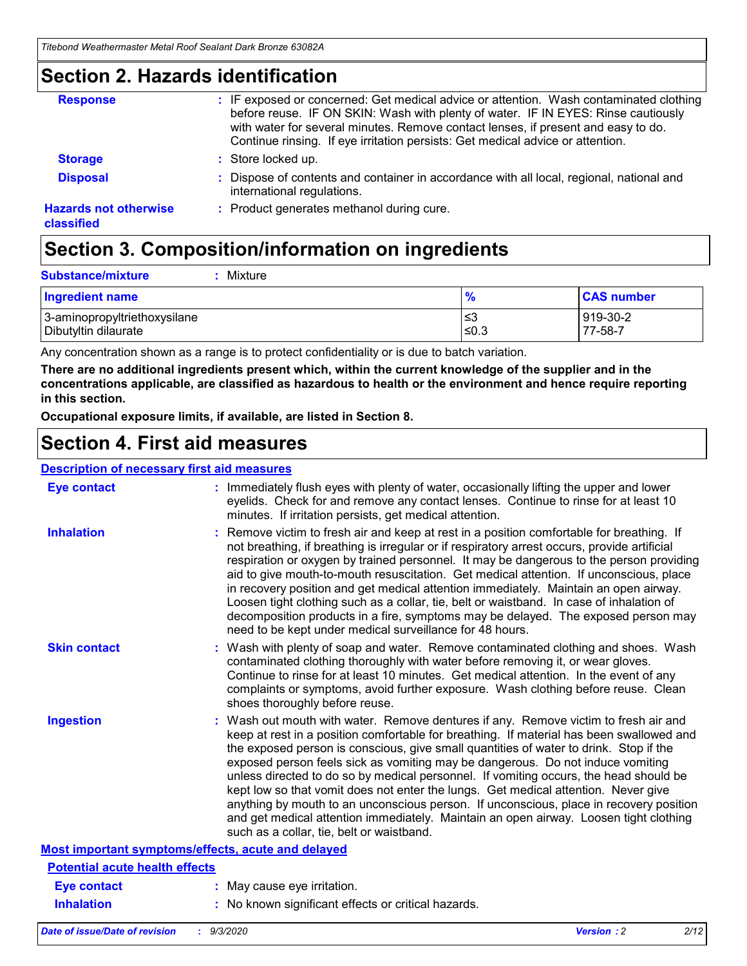### **Section 2. Hazards identification**

| <b>Response</b>                            | : IF exposed or concerned: Get medical advice or attention. Wash contaminated clothing<br>before reuse. IF ON SKIN: Wash with plenty of water. IF IN EYES: Rinse cautiously<br>with water for several minutes. Remove contact lenses, if present and easy to do.<br>Continue rinsing. If eye irritation persists: Get medical advice or attention. |
|--------------------------------------------|----------------------------------------------------------------------------------------------------------------------------------------------------------------------------------------------------------------------------------------------------------------------------------------------------------------------------------------------------|
| <b>Storage</b>                             | : Store locked up.                                                                                                                                                                                                                                                                                                                                 |
| <b>Disposal</b>                            | : Dispose of contents and container in accordance with all local, regional, national and<br>international regulations.                                                                                                                                                                                                                             |
| <b>Hazards not otherwise</b><br>classified | : Product generates methanol during cure.                                                                                                                                                                                                                                                                                                          |

# **Section 3. Composition/information on ingredients**

| <b>Substance/mixture</b> | : Mixture |
|--------------------------|-----------|
|                          |           |

| <b>Ingredient name</b>       | $\frac{9}{6}$ | <b>CAS number</b> |
|------------------------------|---------------|-------------------|
| 3-aminopropyltriethoxysilane | ՝≤3           | 919-30-2          |
| Dibutyltin dilaurate         | ∣≤0.3         | 77-58-7           |

Any concentration shown as a range is to protect confidentiality or is due to batch variation.

**There are no additional ingredients present which, within the current knowledge of the supplier and in the concentrations applicable, are classified as hazardous to health or the environment and hence require reporting in this section.**

**Occupational exposure limits, if available, are listed in Section 8.**

### **Section 4. First aid measures**

| <b>Description of necessary first aid measures</b> |                                                                                                                                                                                                                                                                                                                                                                                                                                                                                                                                                                                                                                                                                                                                                                           |
|----------------------------------------------------|---------------------------------------------------------------------------------------------------------------------------------------------------------------------------------------------------------------------------------------------------------------------------------------------------------------------------------------------------------------------------------------------------------------------------------------------------------------------------------------------------------------------------------------------------------------------------------------------------------------------------------------------------------------------------------------------------------------------------------------------------------------------------|
| <b>Eye contact</b>                                 | : Immediately flush eyes with plenty of water, occasionally lifting the upper and lower<br>eyelids. Check for and remove any contact lenses. Continue to rinse for at least 10<br>minutes. If irritation persists, get medical attention.                                                                                                                                                                                                                                                                                                                                                                                                                                                                                                                                 |
| <b>Inhalation</b>                                  | : Remove victim to fresh air and keep at rest in a position comfortable for breathing. If<br>not breathing, if breathing is irregular or if respiratory arrest occurs, provide artificial<br>respiration or oxygen by trained personnel. It may be dangerous to the person providing<br>aid to give mouth-to-mouth resuscitation. Get medical attention. If unconscious, place<br>in recovery position and get medical attention immediately. Maintain an open airway.<br>Loosen tight clothing such as a collar, tie, belt or waistband. In case of inhalation of<br>decomposition products in a fire, symptoms may be delayed. The exposed person may<br>need to be kept under medical surveillance for 48 hours.                                                       |
| <b>Skin contact</b>                                | : Wash with plenty of soap and water. Remove contaminated clothing and shoes. Wash<br>contaminated clothing thoroughly with water before removing it, or wear gloves.<br>Continue to rinse for at least 10 minutes. Get medical attention. In the event of any<br>complaints or symptoms, avoid further exposure. Wash clothing before reuse. Clean<br>shoes thoroughly before reuse.                                                                                                                                                                                                                                                                                                                                                                                     |
| <b>Ingestion</b>                                   | : Wash out mouth with water. Remove dentures if any. Remove victim to fresh air and<br>keep at rest in a position comfortable for breathing. If material has been swallowed and<br>the exposed person is conscious, give small quantities of water to drink. Stop if the<br>exposed person feels sick as vomiting may be dangerous. Do not induce vomiting<br>unless directed to do so by medical personnel. If vomiting occurs, the head should be<br>kept low so that vomit does not enter the lungs. Get medical attention. Never give<br>anything by mouth to an unconscious person. If unconscious, place in recovery position<br>and get medical attention immediately. Maintain an open airway. Loosen tight clothing<br>such as a collar, tie, belt or waistband. |
| Most important symptoms/effects, acute and delayed |                                                                                                                                                                                                                                                                                                                                                                                                                                                                                                                                                                                                                                                                                                                                                                           |
| <b>Potential acute health effects</b>              |                                                                                                                                                                                                                                                                                                                                                                                                                                                                                                                                                                                                                                                                                                                                                                           |
| <b>Eye contact</b>                                 | : May cause eye irritation.                                                                                                                                                                                                                                                                                                                                                                                                                                                                                                                                                                                                                                                                                                                                               |
| <b>Inhalation</b>                                  | : No known significant effects or critical hazards.                                                                                                                                                                                                                                                                                                                                                                                                                                                                                                                                                                                                                                                                                                                       |
|                                                    |                                                                                                                                                                                                                                                                                                                                                                                                                                                                                                                                                                                                                                                                                                                                                                           |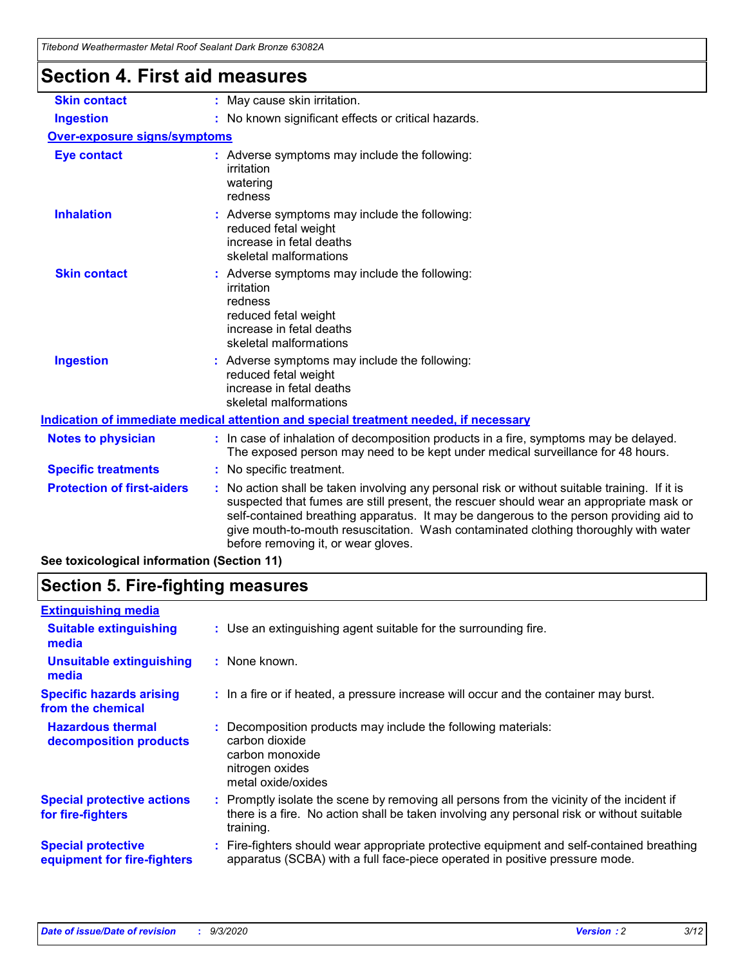| <b>Section 4. First aid measures</b> |                                                                                                                                                                                                                                                                                                                                                                                                                 |
|--------------------------------------|-----------------------------------------------------------------------------------------------------------------------------------------------------------------------------------------------------------------------------------------------------------------------------------------------------------------------------------------------------------------------------------------------------------------|
| <b>Skin contact</b>                  | : May cause skin irritation.                                                                                                                                                                                                                                                                                                                                                                                    |
| <b>Ingestion</b>                     | : No known significant effects or critical hazards.                                                                                                                                                                                                                                                                                                                                                             |
| <b>Over-exposure signs/symptoms</b>  |                                                                                                                                                                                                                                                                                                                                                                                                                 |
| <b>Eye contact</b>                   | : Adverse symptoms may include the following:<br>irritation<br>watering<br>redness                                                                                                                                                                                                                                                                                                                              |
| <b>Inhalation</b>                    | : Adverse symptoms may include the following:<br>reduced fetal weight<br>increase in fetal deaths<br>skeletal malformations                                                                                                                                                                                                                                                                                     |
| <b>Skin contact</b>                  | : Adverse symptoms may include the following:<br>irritation<br>redness<br>reduced fetal weight<br>increase in fetal deaths<br>skeletal malformations                                                                                                                                                                                                                                                            |
| <b>Ingestion</b>                     | : Adverse symptoms may include the following:<br>reduced fetal weight<br>increase in fetal deaths<br>skeletal malformations                                                                                                                                                                                                                                                                                     |
|                                      | Indication of immediate medical attention and special treatment needed, if necessary                                                                                                                                                                                                                                                                                                                            |
| <b>Notes to physician</b>            | : In case of inhalation of decomposition products in a fire, symptoms may be delayed.<br>The exposed person may need to be kept under medical surveillance for 48 hours.                                                                                                                                                                                                                                        |
| <b>Specific treatments</b>           | : No specific treatment.                                                                                                                                                                                                                                                                                                                                                                                        |
| <b>Protection of first-aiders</b>    | : No action shall be taken involving any personal risk or without suitable training. If it is<br>suspected that fumes are still present, the rescuer should wear an appropriate mask or<br>self-contained breathing apparatus. It may be dangerous to the person providing aid to<br>give mouth-to-mouth resuscitation. Wash contaminated clothing thoroughly with water<br>before removing it, or wear gloves. |
|                                      |                                                                                                                                                                                                                                                                                                                                                                                                                 |

**See toxicological information (Section 11)**

### **Section 5. Fire-fighting measures**

| <b>Extinguishing media</b>                               |                                                                                                                                                                                                     |
|----------------------------------------------------------|-----------------------------------------------------------------------------------------------------------------------------------------------------------------------------------------------------|
| <b>Suitable extinguishing</b><br>media                   | : Use an extinguishing agent suitable for the surrounding fire.                                                                                                                                     |
| <b>Unsuitable extinguishing</b><br>media                 | : None known.                                                                                                                                                                                       |
| <b>Specific hazards arising</b><br>from the chemical     | : In a fire or if heated, a pressure increase will occur and the container may burst.                                                                                                               |
| <b>Hazardous thermal</b><br>decomposition products       | : Decomposition products may include the following materials:<br>carbon dioxide<br>carbon monoxide<br>nitrogen oxides<br>metal oxide/oxides                                                         |
| <b>Special protective actions</b><br>for fire-fighters   | : Promptly isolate the scene by removing all persons from the vicinity of the incident if<br>there is a fire. No action shall be taken involving any personal risk or without suitable<br>training. |
| <b>Special protective</b><br>equipment for fire-fighters | Fire-fighters should wear appropriate protective equipment and self-contained breathing<br>apparatus (SCBA) with a full face-piece operated in positive pressure mode.                              |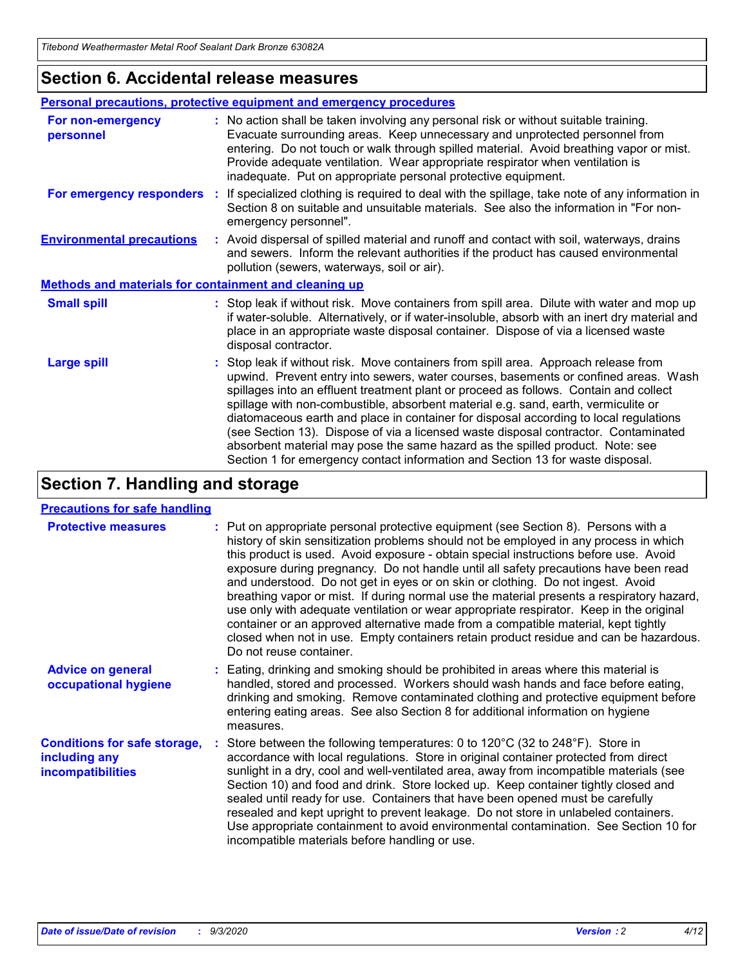### **Section 6. Accidental release measures**

|                                                              | Personal precautions, protective equipment and emergency procedures                                                                                                                                                                                                                                                                                                                                                                                                                                                                                                                                                                                                                                          |  |  |  |
|--------------------------------------------------------------|--------------------------------------------------------------------------------------------------------------------------------------------------------------------------------------------------------------------------------------------------------------------------------------------------------------------------------------------------------------------------------------------------------------------------------------------------------------------------------------------------------------------------------------------------------------------------------------------------------------------------------------------------------------------------------------------------------------|--|--|--|
| For non-emergency<br>personnel                               | : No action shall be taken involving any personal risk or without suitable training.<br>Evacuate surrounding areas. Keep unnecessary and unprotected personnel from<br>entering. Do not touch or walk through spilled material. Avoid breathing vapor or mist.<br>Provide adequate ventilation. Wear appropriate respirator when ventilation is<br>inadequate. Put on appropriate personal protective equipment.                                                                                                                                                                                                                                                                                             |  |  |  |
| For emergency responders                                     | : If specialized clothing is required to deal with the spillage, take note of any information in<br>Section 8 on suitable and unsuitable materials. See also the information in "For non-<br>emergency personnel".                                                                                                                                                                                                                                                                                                                                                                                                                                                                                           |  |  |  |
| <b>Environmental precautions</b>                             | : Avoid dispersal of spilled material and runoff and contact with soil, waterways, drains<br>and sewers. Inform the relevant authorities if the product has caused environmental<br>pollution (sewers, waterways, soil or air).                                                                                                                                                                                                                                                                                                                                                                                                                                                                              |  |  |  |
| <b>Methods and materials for containment and cleaning up</b> |                                                                                                                                                                                                                                                                                                                                                                                                                                                                                                                                                                                                                                                                                                              |  |  |  |
| <b>Small spill</b>                                           | : Stop leak if without risk. Move containers from spill area. Dilute with water and mop up<br>if water-soluble. Alternatively, or if water-insoluble, absorb with an inert dry material and<br>place in an appropriate waste disposal container. Dispose of via a licensed waste<br>disposal contractor.                                                                                                                                                                                                                                                                                                                                                                                                     |  |  |  |
| <b>Large spill</b>                                           | : Stop leak if without risk. Move containers from spill area. Approach release from<br>upwind. Prevent entry into sewers, water courses, basements or confined areas. Wash<br>spillages into an effluent treatment plant or proceed as follows. Contain and collect<br>spillage with non-combustible, absorbent material e.g. sand, earth, vermiculite or<br>diatomaceous earth and place in container for disposal according to local regulations<br>(see Section 13). Dispose of via a licensed waste disposal contractor. Contaminated<br>absorbent material may pose the same hazard as the spilled product. Note: see<br>Section 1 for emergency contact information and Section 13 for waste disposal. |  |  |  |

### **Section 7. Handling and storage**

#### **Precautions for safe handling**

| <b>Protective measures</b>                                                       | : Put on appropriate personal protective equipment (see Section 8). Persons with a<br>history of skin sensitization problems should not be employed in any process in which<br>this product is used. Avoid exposure - obtain special instructions before use. Avoid<br>exposure during pregnancy. Do not handle until all safety precautions have been read<br>and understood. Do not get in eyes or on skin or clothing. Do not ingest. Avoid<br>breathing vapor or mist. If during normal use the material presents a respiratory hazard,<br>use only with adequate ventilation or wear appropriate respirator. Keep in the original<br>container or an approved alternative made from a compatible material, kept tightly<br>closed when not in use. Empty containers retain product residue and can be hazardous.<br>Do not reuse container. |
|----------------------------------------------------------------------------------|--------------------------------------------------------------------------------------------------------------------------------------------------------------------------------------------------------------------------------------------------------------------------------------------------------------------------------------------------------------------------------------------------------------------------------------------------------------------------------------------------------------------------------------------------------------------------------------------------------------------------------------------------------------------------------------------------------------------------------------------------------------------------------------------------------------------------------------------------|
| <b>Advice on general</b><br>occupational hygiene                                 | : Eating, drinking and smoking should be prohibited in areas where this material is<br>handled, stored and processed. Workers should wash hands and face before eating,<br>drinking and smoking. Remove contaminated clothing and protective equipment before<br>entering eating areas. See also Section 8 for additional information on hygiene<br>measures.                                                                                                                                                                                                                                                                                                                                                                                                                                                                                    |
| <b>Conditions for safe storage,</b><br>including any<br><i>incompatibilities</i> | Store between the following temperatures: 0 to 120°C (32 to 248°F). Store in<br>accordance with local regulations. Store in original container protected from direct<br>sunlight in a dry, cool and well-ventilated area, away from incompatible materials (see<br>Section 10) and food and drink. Store locked up. Keep container tightly closed and<br>sealed until ready for use. Containers that have been opened must be carefully<br>resealed and kept upright to prevent leakage. Do not store in unlabeled containers.<br>Use appropriate containment to avoid environmental contamination. See Section 10 for<br>incompatible materials before handling or use.                                                                                                                                                                         |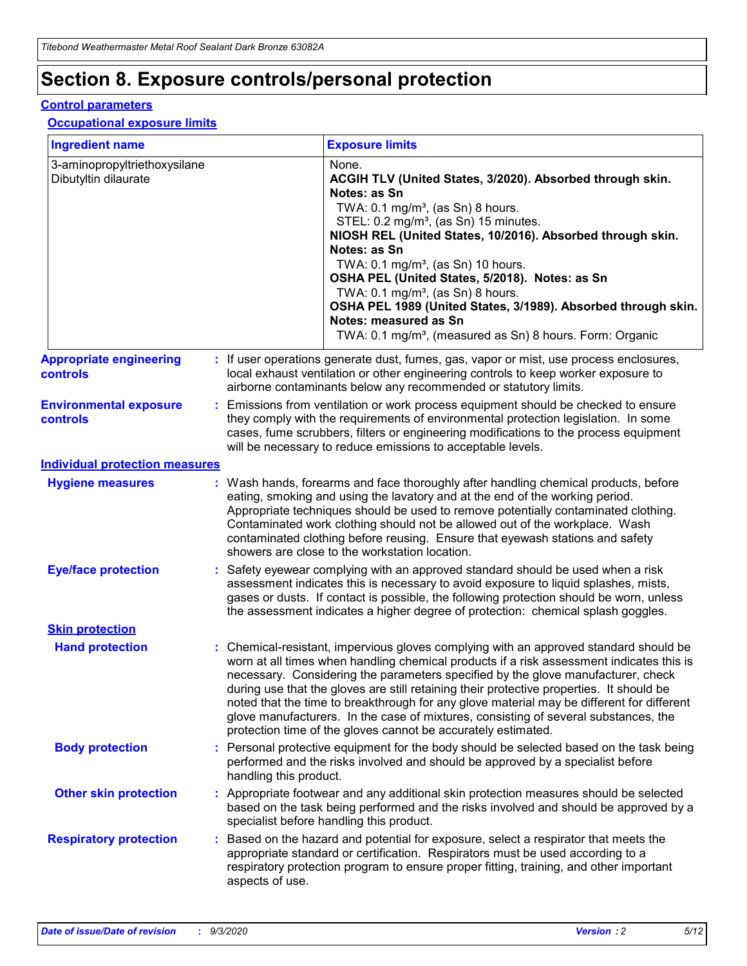# **Section 8. Exposure controls/personal protection**

#### **Control parameters**

#### **Occupational exposure limits**

| <b>Ingredient name</b>                               |    |                        | <b>Exposure limits</b>                                                                                                                                                                                                                                                                                                                                                                                                                                                                                                                                                                                                 |
|------------------------------------------------------|----|------------------------|------------------------------------------------------------------------------------------------------------------------------------------------------------------------------------------------------------------------------------------------------------------------------------------------------------------------------------------------------------------------------------------------------------------------------------------------------------------------------------------------------------------------------------------------------------------------------------------------------------------------|
| 3-aminopropyltriethoxysilane<br>Dibutyltin dilaurate |    |                        | None.<br>ACGIH TLV (United States, 3/2020). Absorbed through skin.<br>Notes: as Sn<br>TWA: $0.1 \text{ mg/m}^3$ , (as Sn) 8 hours.<br>STEL: 0.2 mg/m <sup>3</sup> , (as Sn) 15 minutes.<br>NIOSH REL (United States, 10/2016). Absorbed through skin.<br>Notes: as Sn<br>TWA: 0.1 mg/m <sup>3</sup> , (as Sn) 10 hours.<br>OSHA PEL (United States, 5/2018). Notes: as Sn<br>TWA: $0.1 \text{ mg/m}^3$ , (as Sn) 8 hours.<br>OSHA PEL 1989 (United States, 3/1989). Absorbed through skin.<br>Notes: measured as Sn<br>TWA: 0.1 mg/m <sup>3</sup> , (measured as Sn) 8 hours. Form: Organic                            |
| <b>Appropriate engineering</b><br>controls           |    |                        | : If user operations generate dust, fumes, gas, vapor or mist, use process enclosures,<br>local exhaust ventilation or other engineering controls to keep worker exposure to<br>airborne contaminants below any recommended or statutory limits.                                                                                                                                                                                                                                                                                                                                                                       |
| <b>Environmental exposure</b><br><b>controls</b>     |    |                        | Emissions from ventilation or work process equipment should be checked to ensure<br>they comply with the requirements of environmental protection legislation. In some<br>cases, fume scrubbers, filters or engineering modifications to the process equipment<br>will be necessary to reduce emissions to acceptable levels.                                                                                                                                                                                                                                                                                          |
| <b>Individual protection measures</b>                |    |                        |                                                                                                                                                                                                                                                                                                                                                                                                                                                                                                                                                                                                                        |
| <b>Hygiene measures</b>                              |    |                        | : Wash hands, forearms and face thoroughly after handling chemical products, before<br>eating, smoking and using the lavatory and at the end of the working period.<br>Appropriate techniques should be used to remove potentially contaminated clothing.<br>Contaminated work clothing should not be allowed out of the workplace. Wash<br>contaminated clothing before reusing. Ensure that eyewash stations and safety<br>showers are close to the workstation location.                                                                                                                                            |
| <b>Eye/face protection</b>                           |    |                        | Safety eyewear complying with an approved standard should be used when a risk<br>assessment indicates this is necessary to avoid exposure to liquid splashes, mists,<br>gases or dusts. If contact is possible, the following protection should be worn, unless<br>the assessment indicates a higher degree of protection: chemical splash goggles.                                                                                                                                                                                                                                                                    |
| <b>Skin protection</b>                               |    |                        |                                                                                                                                                                                                                                                                                                                                                                                                                                                                                                                                                                                                                        |
| <b>Hand protection</b>                               |    |                        | : Chemical-resistant, impervious gloves complying with an approved standard should be<br>worn at all times when handling chemical products if a risk assessment indicates this is<br>necessary. Considering the parameters specified by the glove manufacturer, check<br>during use that the gloves are still retaining their protective properties. It should be<br>noted that the time to breakthrough for any glove material may be different for different<br>glove manufacturers. In the case of mixtures, consisting of several substances, the<br>protection time of the gloves cannot be accurately estimated. |
| <b>Body protection</b>                               |    | handling this product. | Personal protective equipment for the body should be selected based on the task being<br>performed and the risks involved and should be approved by a specialist before                                                                                                                                                                                                                                                                                                                                                                                                                                                |
| <b>Other skin protection</b>                         |    |                        | Appropriate footwear and any additional skin protection measures should be selected<br>based on the task being performed and the risks involved and should be approved by a<br>specialist before handling this product.                                                                                                                                                                                                                                                                                                                                                                                                |
| <b>Respiratory protection</b>                        | ÷. | aspects of use.        | Based on the hazard and potential for exposure, select a respirator that meets the<br>appropriate standard or certification. Respirators must be used according to a<br>respiratory protection program to ensure proper fitting, training, and other important                                                                                                                                                                                                                                                                                                                                                         |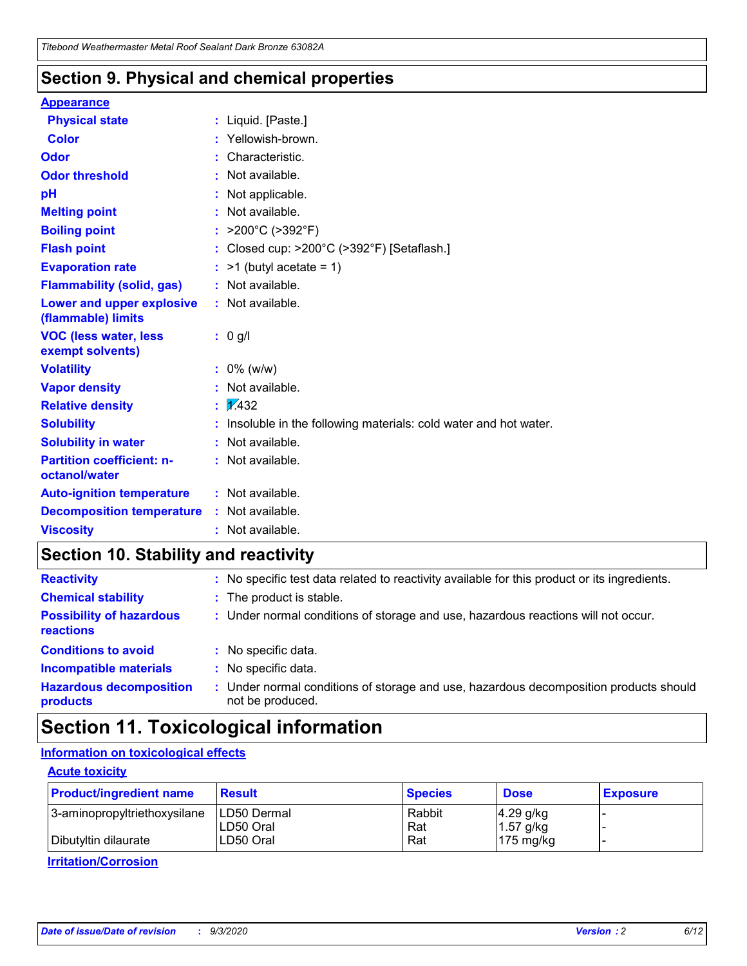### **Section 9. Physical and chemical properties**

#### **Appearance**

| <b>Physical state</b>                             | : Liquid. [Paste.]                                              |
|---------------------------------------------------|-----------------------------------------------------------------|
| <b>Color</b>                                      | Yellowish-brown.                                                |
| Odor                                              | : Characteristic.                                               |
| <b>Odor threshold</b>                             | : Not available.                                                |
| рH                                                | : Not applicable.                                               |
| <b>Melting point</b>                              | : Not available.                                                |
| <b>Boiling point</b>                              | >200°C (>392°F)                                                 |
| <b>Flash point</b>                                | : Closed cup: >200°C (>392°F) [Setaflash.]                      |
| <b>Evaporation rate</b>                           | $:$ >1 (butyl acetate = 1)                                      |
| <b>Flammability (solid, gas)</b>                  | : Not available.                                                |
| Lower and upper explosive<br>(flammable) limits   | : Not available.                                                |
| <b>VOC (less water, less</b><br>exempt solvents)  | $: 0$ g/l                                                       |
| <b>Volatility</b>                                 | $: 0\%$ (w/w)                                                   |
| <b>Vapor density</b>                              | : Not available.                                                |
| <b>Relative density</b>                           | $\frac{1}{2}$ $\frac{1}{432}$                                   |
| <b>Solubility</b>                                 | Insoluble in the following materials: cold water and hot water. |
| <b>Solubility in water</b>                        | : Not available.                                                |
| <b>Partition coefficient: n-</b><br>octanol/water | $:$ Not available.                                              |
| <b>Auto-ignition temperature</b>                  | : Not available.                                                |
| <b>Decomposition temperature</b>                  | : Not available.                                                |
| <b>Viscosity</b>                                  | : Not available.                                                |

### **Section 10. Stability and reactivity**

| <b>Reactivity</b>                            |    | : No specific test data related to reactivity available for this product or its ingredients.            |
|----------------------------------------------|----|---------------------------------------------------------------------------------------------------------|
| <b>Chemical stability</b>                    |    | : The product is stable.                                                                                |
| <b>Possibility of hazardous</b><br>reactions |    | : Under normal conditions of storage and use, hazardous reactions will not occur.                       |
| <b>Conditions to avoid</b>                   |    | : No specific data.                                                                                     |
| <b>Incompatible materials</b>                |    | : No specific data.                                                                                     |
| <b>Hazardous decomposition</b><br>products   | ÷. | Under normal conditions of storage and use, hazardous decomposition products should<br>not be produced. |

## **Section 11. Toxicological information**

#### **Information on toxicological effects**

#### **Acute toxicity**

| <b>Product/ingredient name</b> | <b>Result</b>           | <b>Species</b> | <b>Dose</b>                | <b>Exposure</b> |
|--------------------------------|-------------------------|----------------|----------------------------|-----------------|
| 3-aminopropyltriethoxysilane   | <b>ILD50 Dermal</b>     | Rabbit         | 4.29 g/kg                  |                 |
| Dibutyltin dilaurate           | ILD50 Oral<br>LD50 Oral | Rat<br>Rat     | $1.57$ g/kg<br>175 $mg/kg$ |                 |
|                                |                         |                |                            |                 |

**Irritation/Corrosion**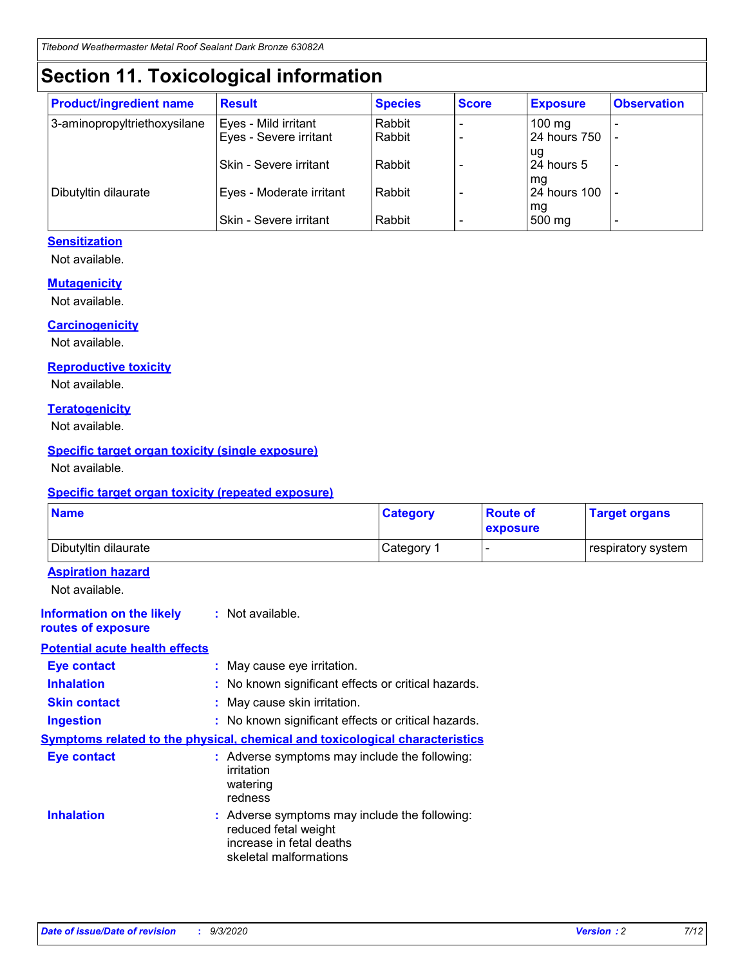# **Section 11. Toxicological information**

| <b>Product/ingredient name</b> | <b>Result</b>            | <b>Species</b> | <b>Score</b> | <b>Exposure</b>    | <b>Observation</b> |
|--------------------------------|--------------------------|----------------|--------------|--------------------|--------------------|
| 3-aminopropyltriethoxysilane   | Eyes - Mild irritant     | Rabbit         |              | $100$ mg           |                    |
|                                | Eyes - Severe irritant   | Rabbit         |              | 24 hours 750       |                    |
|                                |                          |                |              | ug                 |                    |
|                                | Skin - Severe irritant   | Rabbit         |              | 24 hours 5         | -                  |
| Dibutyltin dilaurate           | Eyes - Moderate irritant | Rabbit         |              | mg<br>24 hours 100 |                    |
|                                |                          |                |              | mg                 |                    |
|                                | Skin - Severe irritant   | Rabbit         |              | 500 mg             | -                  |

#### **Sensitization**

Not available.

#### **Mutagenicity**

Not available.

#### **Carcinogenicity**

Not available.

#### **Reproductive toxicity**

Not available.

#### **Teratogenicity**

Not available.

#### **Specific target organ toxicity (single exposure)**

Not available.

#### **Specific target organ toxicity (repeated exposure)**

| <b>Name</b>                                                                  |                                                                                                                             | <b>Category</b>                                     | <b>Route of</b><br>exposure | <b>Target organs</b> |  |  |
|------------------------------------------------------------------------------|-----------------------------------------------------------------------------------------------------------------------------|-----------------------------------------------------|-----------------------------|----------------------|--|--|
| Dibutyltin dilaurate                                                         |                                                                                                                             | Category 1                                          |                             | respiratory system   |  |  |
| <b>Aspiration hazard</b><br>Not available.                                   |                                                                                                                             |                                                     |                             |                      |  |  |
| <b>Information on the likely</b><br>routes of exposure                       | : Not available.                                                                                                            |                                                     |                             |                      |  |  |
| <b>Potential acute health effects</b>                                        |                                                                                                                             |                                                     |                             |                      |  |  |
| <b>Eye contact</b>                                                           | : May cause eye irritation.                                                                                                 |                                                     |                             |                      |  |  |
| <b>Inhalation</b>                                                            |                                                                                                                             | : No known significant effects or critical hazards. |                             |                      |  |  |
| <b>Skin contact</b>                                                          |                                                                                                                             | : May cause skin irritation.                        |                             |                      |  |  |
| <b>Ingestion</b>                                                             |                                                                                                                             | : No known significant effects or critical hazards. |                             |                      |  |  |
| Symptoms related to the physical, chemical and toxicological characteristics |                                                                                                                             |                                                     |                             |                      |  |  |
| <b>Eye contact</b>                                                           | : Adverse symptoms may include the following:<br>irritation<br>watering<br>redness                                          |                                                     |                             |                      |  |  |
| <b>Inhalation</b>                                                            | : Adverse symptoms may include the following:<br>reduced fetal weight<br>increase in fetal deaths<br>skeletal malformations |                                                     |                             |                      |  |  |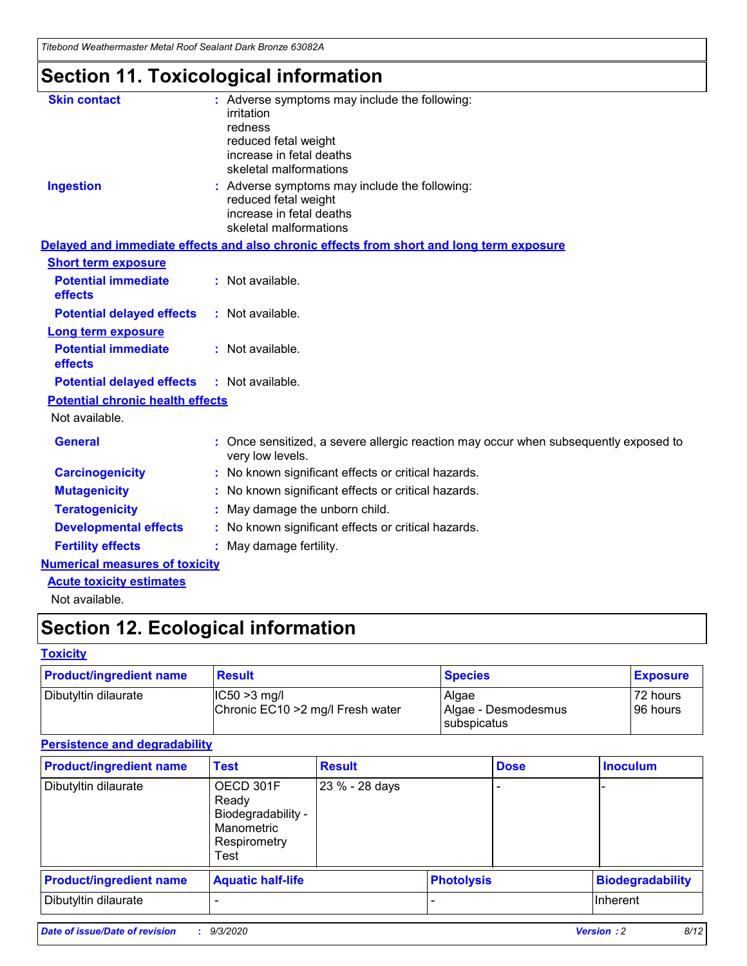*Titebond Weathermaster Metal Roof Sealant Dark Bronze 63082A*

# **Section 11. Toxicological information**

| <b>Skin contact</b>                     | : Adverse symptoms may include the following:                                                          |
|-----------------------------------------|--------------------------------------------------------------------------------------------------------|
|                                         | irritation                                                                                             |
|                                         | redness                                                                                                |
|                                         | reduced fetal weight                                                                                   |
|                                         | increase in fetal deaths                                                                               |
|                                         | skeletal malformations                                                                                 |
| <b>Ingestion</b>                        | : Adverse symptoms may include the following:                                                          |
|                                         | reduced fetal weight<br>increase in fetal deaths                                                       |
|                                         | skeletal malformations                                                                                 |
|                                         | Delayed and immediate effects and also chronic effects from short and long term exposure               |
| <b>Short term exposure</b>              |                                                                                                        |
| <b>Potential immediate</b>              | : Not available.                                                                                       |
| effects                                 |                                                                                                        |
| <b>Potential delayed effects</b>        | : Not available.                                                                                       |
| <b>Long term exposure</b>               |                                                                                                        |
| <b>Potential immediate</b>              | : Not available.                                                                                       |
| effects                                 |                                                                                                        |
| <b>Potential delayed effects</b>        | : Not available.                                                                                       |
| <b>Potential chronic health effects</b> |                                                                                                        |
| Not available.                          |                                                                                                        |
| <b>General</b>                          | Once sensitized, a severe allergic reaction may occur when subsequently exposed to<br>very low levels. |
| <b>Carcinogenicity</b>                  | No known significant effects or critical hazards.                                                      |
| <b>Mutagenicity</b>                     | : No known significant effects or critical hazards.                                                    |
| <b>Teratogenicity</b>                   | May damage the unborn child.                                                                           |
| <b>Developmental effects</b>            | : No known significant effects or critical hazards.                                                    |
| <b>Fertility effects</b>                | : May damage fertility.                                                                                |
| <b>Numerical measures of toxicity</b>   |                                                                                                        |
| <b>Acute toxicity estimates</b>         |                                                                                                        |
| Not ovoilable                           |                                                                                                        |

Not available.

# **Section 12. Ecological information**

#### **Toxicity**

| <b>Product/ingredient name</b> | <b>Result</b>                                       | <b>Species</b>               | <b>Exposure</b>       |
|--------------------------------|-----------------------------------------------------|------------------------------|-----------------------|
| Dibutyltin dilaurate           | $ CC50>3$ mg/l<br>Chronic EC10 > 2 mg/l Fresh water | Algae<br>Algae - Desmodesmus | 72 hours<br>196 hours |
|                                |                                                     | <b>I</b> subspicatus         |                       |

#### **Persistence and degradability**

| <b>Product/ingredient name</b> | <b>Test</b>                                                                    | <b>Result</b>  |                   | <b>Dose</b> | <b>Inoculum</b>         |
|--------------------------------|--------------------------------------------------------------------------------|----------------|-------------------|-------------|-------------------------|
| Dibutyltin dilaurate           | OECD 301F<br>Ready<br>Biodegradability -<br>Manometric<br>Respirometry<br>Test | 23 % - 28 days |                   |             |                         |
| <b>Product/ingredient name</b> | <b>Aquatic half-life</b>                                                       |                | <b>Photolysis</b> |             | <b>Biodegradability</b> |
| Dibutyltin dilaurate           |                                                                                |                |                   |             | <b>Inherent</b>         |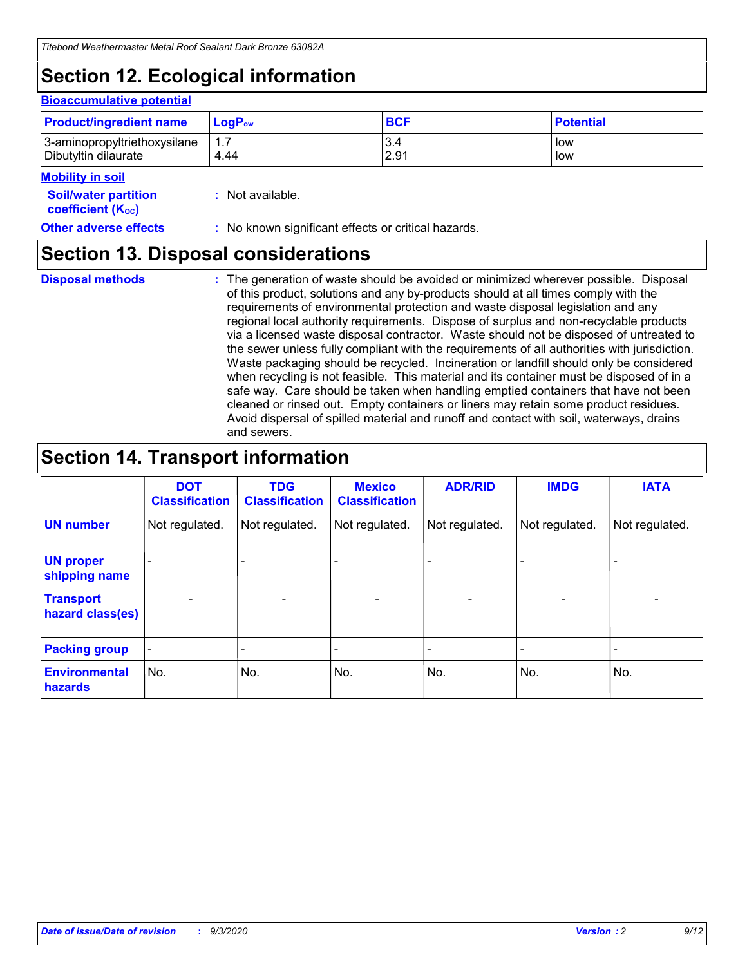# **Section 12. Ecological information**

#### **Bioaccumulative potential**

| <b>Product/ingredient name</b> | $LoaPow$ | <b>BCF</b> | <b>Potential</b> |
|--------------------------------|----------|------------|------------------|
| 3-aminopropyltriethoxysilane   | 1.7      | 3.4        | low              |
| Dibutyltin dilaurate           | 4.44     | 2.91       | low              |

#### **Mobility in soil**

| <b>INIUDIIILY III SUIL</b>                              |                                                     |
|---------------------------------------------------------|-----------------------------------------------------|
| <b>Soil/water partition</b><br><b>coefficient (Koc)</b> | : Not available.                                    |
| <b>Other adverse effects</b>                            | : No known significant effects or critical hazards. |

### **Section 13. Disposal considerations**

**Disposal methods :**

The generation of waste should be avoided or minimized wherever possible. Disposal of this product, solutions and any by-products should at all times comply with the requirements of environmental protection and waste disposal legislation and any regional local authority requirements. Dispose of surplus and non-recyclable products via a licensed waste disposal contractor. Waste should not be disposed of untreated to the sewer unless fully compliant with the requirements of all authorities with jurisdiction. Waste packaging should be recycled. Incineration or landfill should only be considered when recycling is not feasible. This material and its container must be disposed of in a safe way. Care should be taken when handling emptied containers that have not been cleaned or rinsed out. Empty containers or liners may retain some product residues. Avoid dispersal of spilled material and runoff and contact with soil, waterways, drains and sewers.

### **Section 14. Transport information**

|                                      | <b>DOT</b><br><b>Classification</b> | <b>TDG</b><br><b>Classification</b> | <b>Mexico</b><br><b>Classification</b> | <b>ADR/RID</b>           | <b>IMDG</b>              | <b>IATA</b>    |
|--------------------------------------|-------------------------------------|-------------------------------------|----------------------------------------|--------------------------|--------------------------|----------------|
| <b>UN number</b>                     | Not regulated.                      | Not regulated.                      | Not regulated.                         | Not regulated.           | Not regulated.           | Not regulated. |
| <b>UN proper</b><br>shipping name    | $\blacksquare$                      |                                     |                                        |                          |                          |                |
| <b>Transport</b><br>hazard class(es) | $\overline{\phantom{a}}$            | $\overline{\phantom{a}}$            | $\overline{\phantom{a}}$               | $\overline{\phantom{a}}$ | $\overline{\phantom{a}}$ | $\blacksquare$ |
| <b>Packing group</b>                 | $\overline{\phantom{a}}$            | -                                   |                                        |                          |                          |                |
| <b>Environmental</b><br>hazards      | No.                                 | No.                                 | No.                                    | No.                      | No.                      | No.            |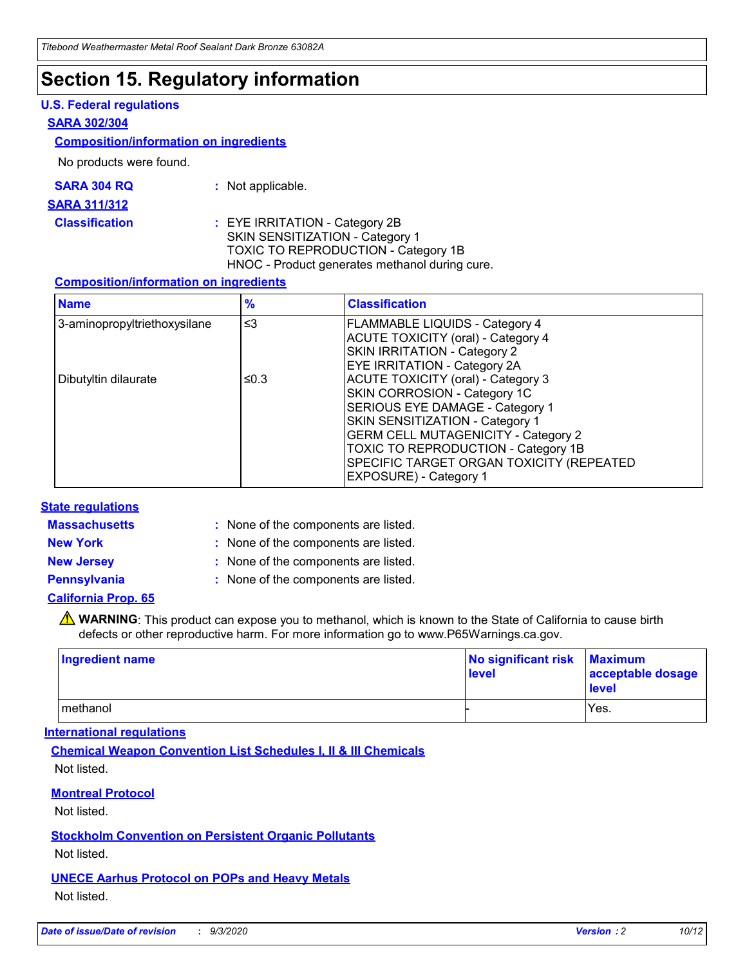### **Section 15. Regulatory information**

#### **U.S. Federal regulations**

#### **SARA 302/304**

#### **Composition/information on ingredients**

No products were found.

| SARA 304 RQ | : Not applicable. |
|-------------|-------------------|
|             |                   |

#### **SARA 311/312**

**Classification :** EYE IRRITATION - Category 2B SKIN SENSITIZATION - Category 1 TOXIC TO REPRODUCTION - Category 1B HNOC - Product generates methanol during cure.

#### **Composition/information on ingredients**

| <b>Name</b>                  | $\frac{9}{6}$ | <b>Classification</b>                                                                                                                                                                                                                                                                                      |
|------------------------------|---------------|------------------------------------------------------------------------------------------------------------------------------------------------------------------------------------------------------------------------------------------------------------------------------------------------------------|
| 3-aminopropyltriethoxysilane | $\leq$ 3      | <b>FLAMMABLE LIQUIDS - Category 4</b><br><b>ACUTE TOXICITY (oral) - Category 4</b><br><b>SKIN IRRITATION - Category 2</b><br>EYE IRRITATION - Category 2A                                                                                                                                                  |
| Dibutyltin dilaurate         | ≤0.3          | <b>ACUTE TOXICITY (oral) - Category 3</b><br>SKIN CORROSION - Category 1C<br>SERIOUS EYE DAMAGE - Category 1<br>SKIN SENSITIZATION - Category 1<br><b>GERM CELL MUTAGENICITY - Category 2</b><br>TOXIC TO REPRODUCTION - Category 1B<br>SPECIFIC TARGET ORGAN TOXICITY (REPEATED<br>EXPOSURE) - Category 1 |

#### **State regulations**

**Massachusetts :**

: None of the components are listed.

**New York :** None of the components are listed. **New Jersey :** None of the components are listed.

**Pennsylvania :** None of the components are listed.

#### **California Prop. 65**

WARNING: This product can expose you to methanol, which is known to the State of California to cause birth defects or other reproductive harm. For more information go to www.P65Warnings.ca.gov.

| Ingredient name | No significant risk<br>level | <b>Maximum</b><br>acceptable dosage<br><b>level</b> |
|-----------------|------------------------------|-----------------------------------------------------|
| methanol        |                              | Yes.                                                |

#### **International regulations**

**Chemical Weapon Convention List Schedules I, II & III Chemicals** Not listed.

#### **Montreal Protocol**

Not listed.

**Stockholm Convention on Persistent Organic Pollutants**

Not listed.

#### **UNECE Aarhus Protocol on POPs and Heavy Metals** Not listed.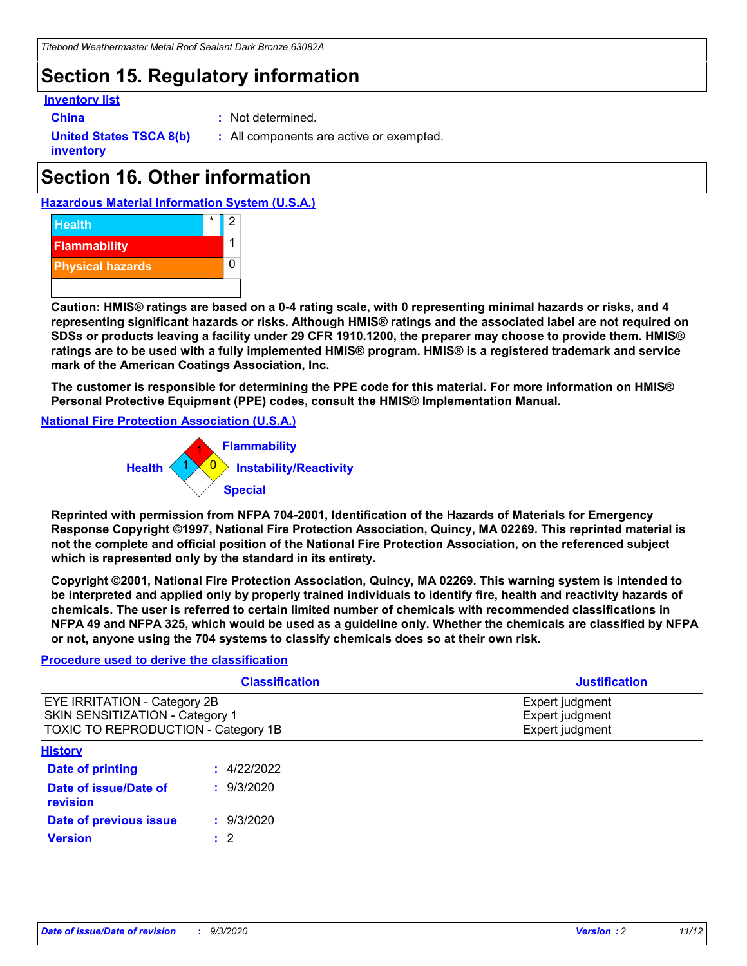# **Section 15. Regulatory information**

#### **Inventory list**

**China :** Not determined.

**United States TSCA 8(b) inventory**

**:** All components are active or exempted.

# **Section 16. Other information**

**Hazardous Material Information System (U.S.A.)**



**Caution: HMIS® ratings are based on a 0-4 rating scale, with 0 representing minimal hazards or risks, and 4 representing significant hazards or risks. Although HMIS® ratings and the associated label are not required on SDSs or products leaving a facility under 29 CFR 1910.1200, the preparer may choose to provide them. HMIS® ratings are to be used with a fully implemented HMIS® program. HMIS® is a registered trademark and service mark of the American Coatings Association, Inc.**

**The customer is responsible for determining the PPE code for this material. For more information on HMIS® Personal Protective Equipment (PPE) codes, consult the HMIS® Implementation Manual.**

**National Fire Protection Association (U.S.A.)**



**Reprinted with permission from NFPA 704-2001, Identification of the Hazards of Materials for Emergency Response Copyright ©1997, National Fire Protection Association, Quincy, MA 02269. This reprinted material is not the complete and official position of the National Fire Protection Association, on the referenced subject which is represented only by the standard in its entirety.**

**Copyright ©2001, National Fire Protection Association, Quincy, MA 02269. This warning system is intended to be interpreted and applied only by properly trained individuals to identify fire, health and reactivity hazards of chemicals. The user is referred to certain limited number of chemicals with recommended classifications in NFPA 49 and NFPA 325, which would be used as a guideline only. Whether the chemicals are classified by NFPA or not, anyone using the 704 systems to classify chemicals does so at their own risk.**

#### **Procedure used to derive the classification**

| <b>Classification</b>                                                                                         | <b>Justification</b>                                  |
|---------------------------------------------------------------------------------------------------------------|-------------------------------------------------------|
| <b>EYE IRRITATION - Category 2B</b><br>SKIN SENSITIZATION - Category 1<br>TOXIC TO REPRODUCTION - Category 1B | Expert judgment<br>Expert judgment<br>Expert judgment |
| <b>History</b>                                                                                                |                                                       |

| .                                 |             |
|-----------------------------------|-------------|
| <b>Date of printing</b>           | : 4/22/2022 |
| Date of issue/Date of<br>revision | : 9/3/2020  |
| Date of previous issue            | : 9/3/2020  |
| <b>Version</b>                    | $\cdot$ 2   |
|                                   |             |